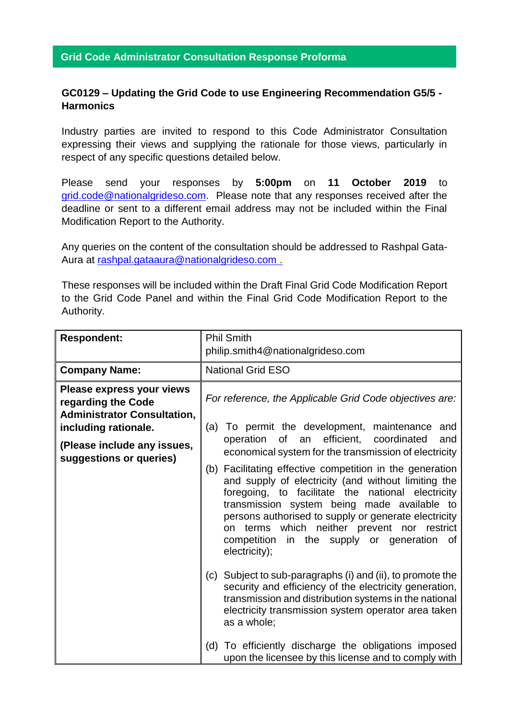## **Grid Code Administrator Consultation Response Proforma**

## **GC0129 – Updating the Grid Code to use Engineering Recommendation G5/5 - Harmonics**

Industry parties are invited to respond to this Code Administrator Consultation expressing their views and supplying the rationale for those views, particularly in respect of any specific questions detailed below.

Please send your responses by **5:00pm** on **11 October 2019** to [grid.code@nationalgrideso.com.](mailto:grid.code@nationalgrideso.com) Please note that any responses received after the deadline or sent to a different email address may not be included within the Final Modification Report to the Authority.

Any queries on the content of the consultation should be addressed to Rashpal Gata-Aura at [rashpal.gataaura@nationalgrideso.com](mailto:rashpal.gataaura@nationalgrideso.com) .

These responses will be included within the Draft Final Grid Code Modification Report to the Grid Code Panel and within the Final Grid Code Modification Report to the Authority.

| <b>Respondent:</b>                                                                                                                                                      | <b>Phil Smith</b><br>philip.smith4@nationalgrideso.com                                                                                                                                                                                                                                                                                                                                                                                                                                                                                                     |
|-------------------------------------------------------------------------------------------------------------------------------------------------------------------------|------------------------------------------------------------------------------------------------------------------------------------------------------------------------------------------------------------------------------------------------------------------------------------------------------------------------------------------------------------------------------------------------------------------------------------------------------------------------------------------------------------------------------------------------------------|
| <b>Company Name:</b>                                                                                                                                                    | <b>National Grid ESO</b>                                                                                                                                                                                                                                                                                                                                                                                                                                                                                                                                   |
| Please express your views<br>regarding the Code<br><b>Administrator Consultation,</b><br>including rationale.<br>(Please include any issues,<br>suggestions or queries) | For reference, the Applicable Grid Code objectives are:<br>(a) To permit the development, maintenance and<br>an efficient, coordinated<br>of<br>operation<br>and<br>economical system for the transmission of electricity<br>(b) Facilitating effective competition in the generation<br>and supply of electricity (and without limiting the<br>foregoing, to facilitate the national electricity<br>transmission system being made available to<br>persons authorised to supply or generate electricity<br>terms which neither prevent nor restrict<br>on |
|                                                                                                                                                                         | competition in the supply or generation<br>of<br>electricity);<br>(c) Subject to sub-paragraphs (i) and (ii), to promote the<br>security and efficiency of the electricity generation,<br>transmission and distribution systems in the national<br>electricity transmission system operator area taken<br>as a whole;<br>(d) To efficiently discharge the obligations imposed<br>upon the licensee by this license and to comply with                                                                                                                      |